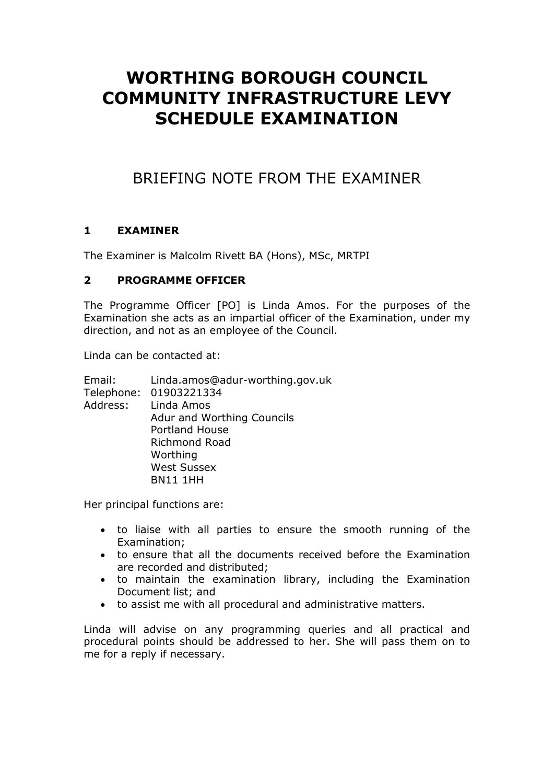# **WORTHING BOROUGH COUNCIL COMMUNITY INFRASTRUCTURE LEVY SCHEDULE EXAMINATION**

## BRIEFING NOTE FROM THE EXAMINER

#### **1 EXAMINER**

The Examiner is Malcolm Rivett BA (Hons), MSc, MRTPI

#### **2 PROGRAMME OFFICER**

The Programme Officer [PO] is Linda Amos. For the purposes of the Examination she acts as an impartial officer of the Examination, under my direction, and not as an employee of the Council.

Linda can be contacted at:

| Email:   | Linda.amos@adur-worthing.gov.uk |
|----------|---------------------------------|
|          | Telephone: 01903221334          |
| Address: | Linda Amos                      |
|          | Adur and Worthing Councils      |
|          | <b>Portland House</b>           |
|          | Richmond Road                   |
|          | Worthing                        |
|          | <b>West Sussex</b>              |
|          | <b>BN11 1HH</b>                 |
|          |                                 |

Her principal functions are:

- to liaise with all parties to ensure the smooth running of the Examination;
- to ensure that all the documents received before the Examination are recorded and distributed;
- to maintain the examination library, including the Examination Document list; and
- to assist me with all procedural and administrative matters.

Linda will advise on any programming queries and all practical and procedural points should be addressed to her. She will pass them on to me for a reply if necessary.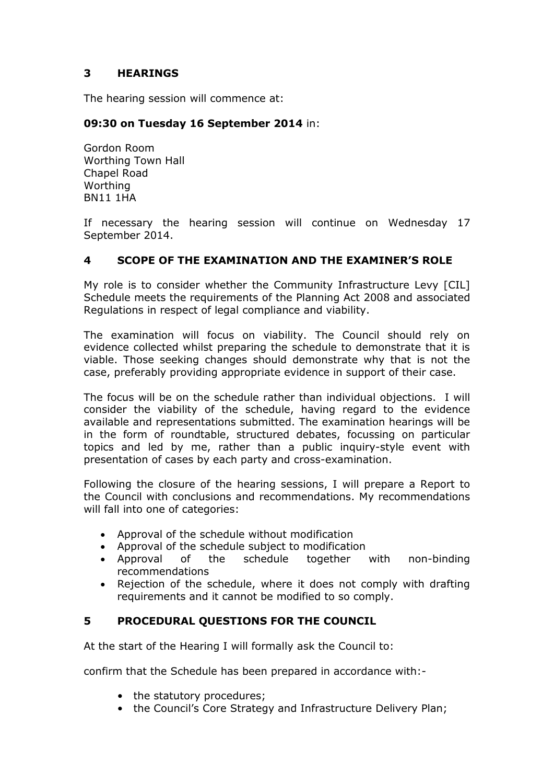#### **3 HEARINGS**

The hearing session will commence at:

#### **09:30 on Tuesday 16 September 2014** in:

Gordon Room Worthing Town Hall Chapel Road Worthing BN11 1HA

If necessary the hearing session will continue on Wednesday 17 September 2014.

#### **4 SCOPE OF THE EXAMINATION AND THE EXAMINER'S ROLE**

My role is to consider whether the Community Infrastructure Levy [CIL] Schedule meets the requirements of the Planning Act 2008 and associated Regulations in respect of legal compliance and viability.

The examination will focus on viability. The Council should rely on evidence collected whilst preparing the schedule to demonstrate that it is viable. Those seeking changes should demonstrate why that is not the case, preferably providing appropriate evidence in support of their case.

The focus will be on the schedule rather than individual objections. I will consider the viability of the schedule, having regard to the evidence available and representations submitted. The examination hearings will be in the form of roundtable, structured debates, focussing on particular topics and led by me, rather than a public inquiry-style event with presentation of cases by each party and cross-examination.

Following the closure of the hearing sessions, I will prepare a Report to the Council with conclusions and recommendations. My recommendations will fall into one of categories:

- Approval of the schedule without modification
- Approval of the schedule subject to modification
- Approval of the schedule together with non-binding recommendations
- Rejection of the schedule, where it does not comply with drafting requirements and it cannot be modified to so comply.

#### **5 PROCEDURAL QUESTIONS FOR THE COUNCIL**

At the start of the Hearing I will formally ask the Council to:

confirm that the Schedule has been prepared in accordance with:-

- the statutory procedures;
- the Council's Core Strategy and Infrastructure Delivery Plan;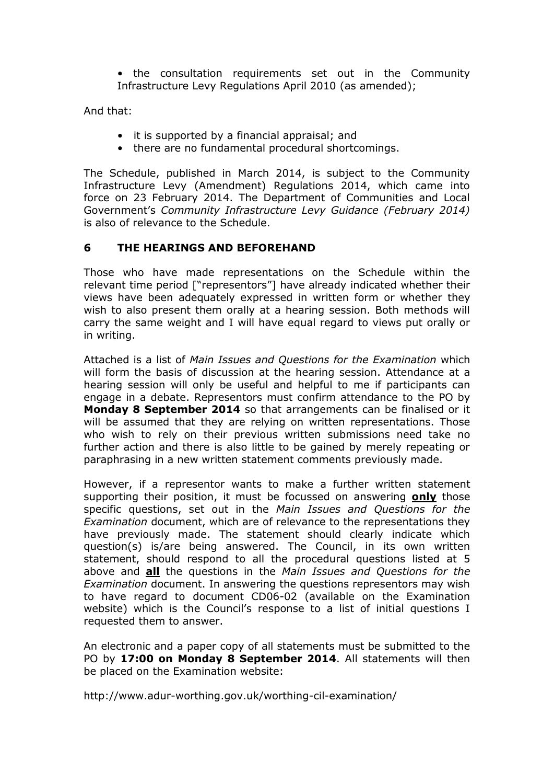• the consultation requirements set out in the Community Infrastructure Levy Regulations April 2010 (as amended);

And that:

- it is supported by a financial appraisal; and
- there are no fundamental procedural shortcomings.

The Schedule, published in March 2014, is subject to the Community Infrastructure Levy (Amendment) Regulations 2014, which came into force on 23 February 2014. The Department of Communities and Local Government's *Community Infrastructure Levy Guidance (February 2014)*  is also of relevance to the Schedule.

#### **6 THE HEARINGS AND BEFOREHAND**

Those who have made representations on the Schedule within the relevant time period ["representors"] have already indicated whether their views have been adequately expressed in written form or whether they wish to also present them orally at a hearing session. Both methods will carry the same weight and I will have equal regard to views put orally or in writing.

Attached is a list of *Main Issues and Questions for the Examination* which will form the basis of discussion at the hearing session. Attendance at a hearing session will only be useful and helpful to me if participants can engage in a debate. Representors must confirm attendance to the PO by **Monday 8 September 2014** so that arrangements can be finalised or it will be assumed that they are relying on written representations. Those who wish to rely on their previous written submissions need take no further action and there is also little to be gained by merely repeating or paraphrasing in a new written statement comments previously made.

However, if a representor wants to make a further written statement supporting their position, it must be focussed on answering **only** those specific questions, set out in the *Main Issues and Questions for the Examination* document, which are of relevance to the representations they have previously made. The statement should clearly indicate which question(s) is/are being answered. The Council, in its own written statement, should respond to all the procedural questions listed at 5 above and **all** the questions in the *Main Issues and Questions for the Examination* document. In answering the questions representors may wish to have regard to document CD06-02 (available on the Examination website) which is the Council's response to a list of initial questions I requested them to answer.

An electronic and a paper copy of all statements must be submitted to the PO by **17:00 on Monday 8 September 2014**. All statements will then be placed on the Examination website:

http://www.adur-worthing.gov.uk/worthing-cil-examination/